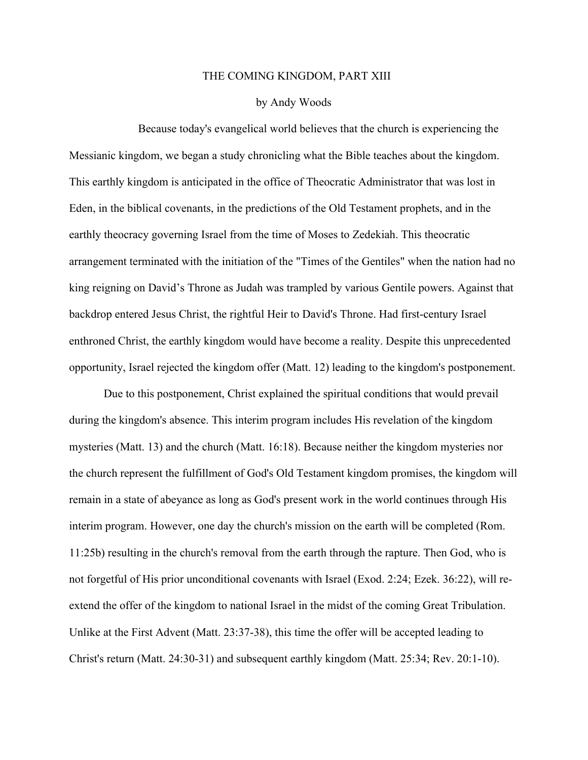## THE COMING KINGDOM, PART XIII

## by Andy Woods

Because today's evangelical world believes that the church is experiencing the Messianic kingdom, we began a study chronicling what the Bible teaches about the kingdom. This earthly kingdom is anticipated in the office of Theocratic Administrator that was lost in Eden, in the biblical covenants, in the predictions of the Old Testament prophets, and in the earthly theocracy governing Israel from the time of Moses to Zedekiah. This theocratic arrangement terminated with the initiation of the "Times of the Gentiles" when the nation had no king reigning on David's Throne as Judah was trampled by various Gentile powers. Against that backdrop entered Jesus Christ, the rightful Heir to David's Throne. Had first-century Israel enthroned Christ, the earthly kingdom would have become a reality. Despite this unprecedented opportunity, Israel rejected the kingdom offer (Matt. 12) leading to the kingdom's postponement.

Due to this postponement, Christ explained the spiritual conditions that would prevail during the kingdom's absence. This interim program includes His revelation of the kingdom mysteries (Matt. 13) and the church (Matt. 16:18). Because neither the kingdom mysteries nor the church represent the fulfillment of God's Old Testament kingdom promises, the kingdom will remain in a state of abeyance as long as God's present work in the world continues through His interim program. However, one day the church's mission on the earth will be completed (Rom. 11:25b) resulting in the church's removal from the earth through the rapture. Then God, who is not forgetful of His prior unconditional covenants with Israel (Exod. 2:24; Ezek. 36:22), will reextend the offer of the kingdom to national Israel in the midst of the coming Great Tribulation. Unlike at the First Advent (Matt. 23:37-38), this time the offer will be accepted leading to Christ's return (Matt. 24:30-31) and subsequent earthly kingdom (Matt. 25:34; Rev. 20:1-10).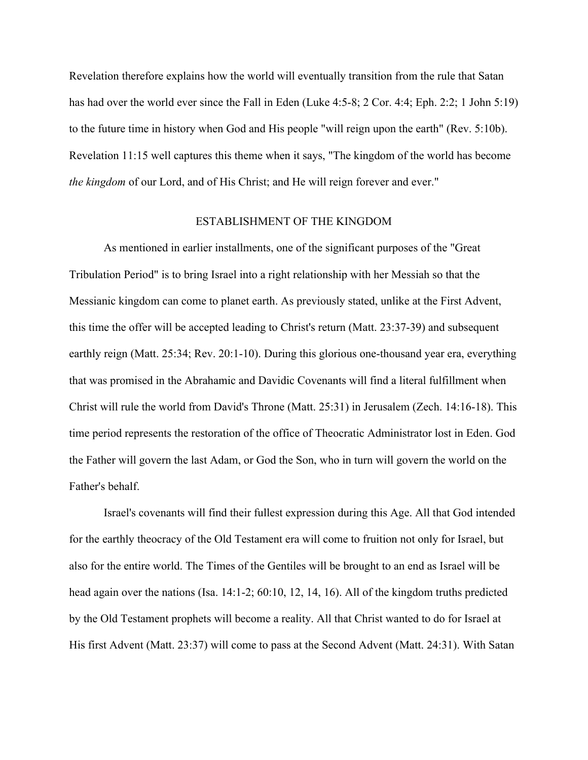Revelation therefore explains how the world will eventually transition from the rule that Satan has had over the world ever since the Fall in Eden (Luke 4:5-8; 2 Cor. 4:4; Eph. 2:2; 1 John 5:19) to the future time in history when God and His people "will reign upon the earth" (Rev. 5:10b). Revelation 11:15 well captures this theme when it says, "The kingdom of the world has become *the kingdom* of our Lord, and of His Christ; and He will reign forever and ever."

## ESTABLISHMENT OF THE KINGDOM

As mentioned in earlier installments, one of the significant purposes of the "Great Tribulation Period" is to bring Israel into a right relationship with her Messiah so that the Messianic kingdom can come to planet earth. As previously stated, unlike at the First Advent, this time the offer will be accepted leading to Christ's return (Matt. 23:37-39) and subsequent earthly reign (Matt. 25:34; Rev. 20:1-10). During this glorious one-thousand year era, everything that was promised in the Abrahamic and Davidic Covenants will find a literal fulfillment when Christ will rule the world from David's Throne (Matt. 25:31) in Jerusalem (Zech. 14:16-18). This time period represents the restoration of the office of Theocratic Administrator lost in Eden. God the Father will govern the last Adam, or God the Son, who in turn will govern the world on the Father's behalf.

Israel's covenants will find their fullest expression during this Age. All that God intended for the earthly theocracy of the Old Testament era will come to fruition not only for Israel, but also for the entire world. The Times of the Gentiles will be brought to an end as Israel will be head again over the nations (Isa. 14:1-2; 60:10, 12, 14, 16). All of the kingdom truths predicted by the Old Testament prophets will become a reality. All that Christ wanted to do for Israel at His first Advent (Matt. 23:37) will come to pass at the Second Advent (Matt. 24:31). With Satan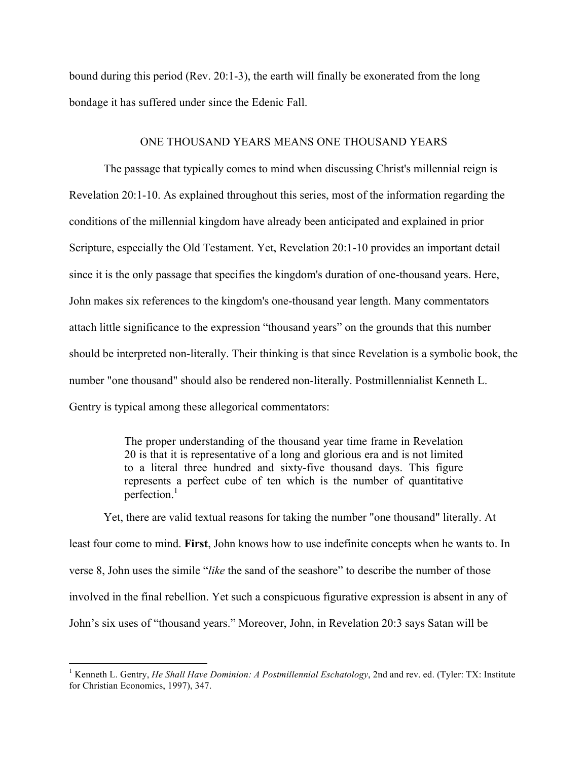bound during this period (Rev. 20:1-3), the earth will finally be exonerated from the long bondage it has suffered under since the Edenic Fall.

## ONE THOUSAND YEARS MEANS ONE THOUSAND YEARS

The passage that typically comes to mind when discussing Christ's millennial reign is Revelation 20:1-10. As explained throughout this series, most of the information regarding the conditions of the millennial kingdom have already been anticipated and explained in prior Scripture, especially the Old Testament. Yet, Revelation 20:1-10 provides an important detail since it is the only passage that specifies the kingdom's duration of one-thousand years. Here, John makes six references to the kingdom's one-thousand year length. Many commentators attach little significance to the expression "thousand years" on the grounds that this number should be interpreted non-literally. Their thinking is that since Revelation is a symbolic book, the number "one thousand" should also be rendered non-literally. Postmillennialist Kenneth L. Gentry is typical among these allegorical commentators:

> The proper understanding of the thousand year time frame in Revelation 20 is that it is representative of a long and glorious era and is not limited to a literal three hundred and sixty-five thousand days. This figure represents a perfect cube of ten which is the number of quantitative perfection $1$

Yet, there are valid textual reasons for taking the number "one thousand" literally. At least four come to mind. **First**, John knows how to use indefinite concepts when he wants to. In verse 8, John uses the simile "*like* the sand of the seashore" to describe the number of those involved in the final rebellion. Yet such a conspicuous figurative expression is absent in any of John's six uses of "thousand years." Moreover, John, in Revelation 20:3 says Satan will be

 <sup>1</sup> Kenneth L. Gentry, *He Shall Have Dominion: A Postmillennial Eschatology*, 2nd and rev. ed. (Tyler: TX: Institute for Christian Economics, 1997), 347.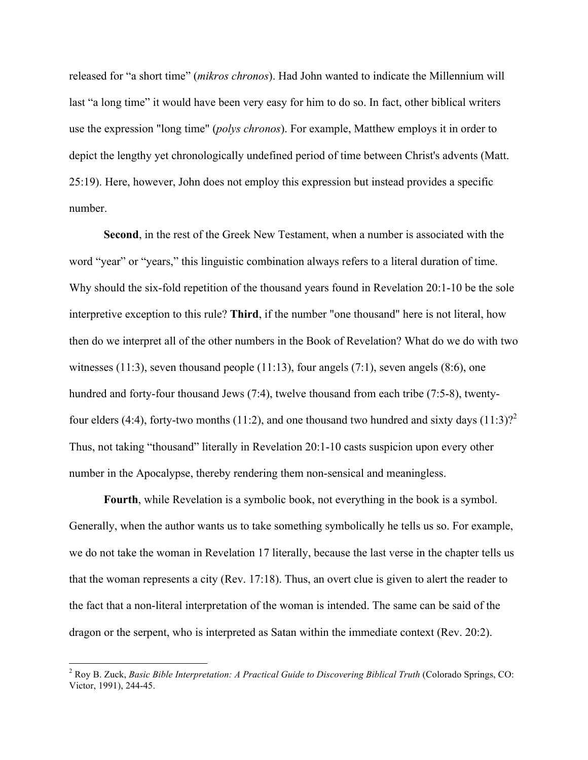released for "a short time" (*mikros chronos*). Had John wanted to indicate the Millennium will last "a long time" it would have been very easy for him to do so. In fact, other biblical writers use the expression "long time" (*polys chronos*). For example, Matthew employs it in order to depict the lengthy yet chronologically undefined period of time between Christ's advents (Matt. 25:19). Here, however, John does not employ this expression but instead provides a specific number.

**Second**, in the rest of the Greek New Testament, when a number is associated with the word "year" or "years," this linguistic combination always refers to a literal duration of time. Why should the six-fold repetition of the thousand years found in Revelation 20:1-10 be the sole interpretive exception to this rule? **Third**, if the number "one thousand" here is not literal, how then do we interpret all of the other numbers in the Book of Revelation? What do we do with two witnesses (11:3), seven thousand people (11:13), four angels (7:1), seven angels (8:6), one hundred and forty-four thousand Jews (7:4), twelve thousand from each tribe (7:5-8), twentyfour elders (4:4), forty-two months (11:2), and one thousand two hundred and sixty days (11:3)?<sup>2</sup> Thus, not taking "thousand" literally in Revelation 20:1-10 casts suspicion upon every other number in the Apocalypse, thereby rendering them non-sensical and meaningless.

**Fourth**, while Revelation is a symbolic book, not everything in the book is a symbol. Generally, when the author wants us to take something symbolically he tells us so. For example, we do not take the woman in Revelation 17 literally, because the last verse in the chapter tells us that the woman represents a city (Rev. 17:18). Thus, an overt clue is given to alert the reader to the fact that a non-literal interpretation of the woman is intended. The same can be said of the dragon or the serpent, who is interpreted as Satan within the immediate context (Rev. 20:2).

<sup>&</sup>lt;sup>2</sup> Roy B. Zuck, *Basic Bible Interpretation: A Practical Guide to Discovering Biblical Truth* (Colorado Springs, CO: Victor, 1991), 244-45.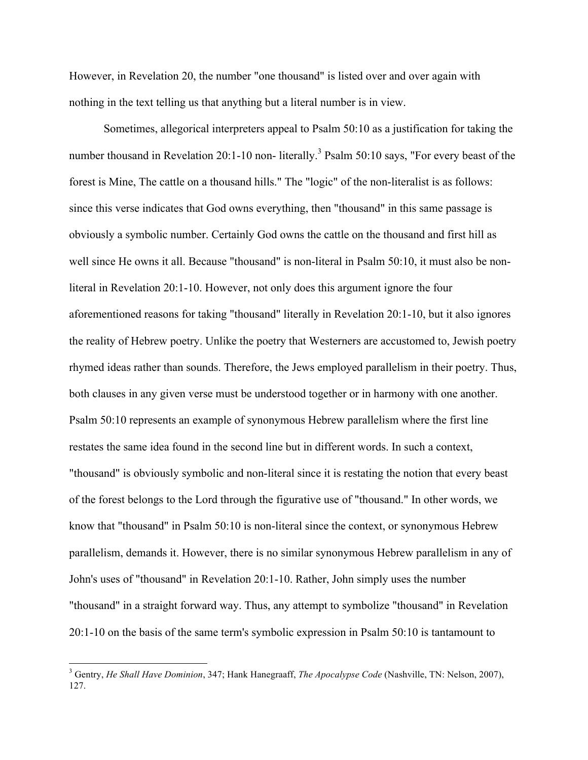However, in Revelation 20, the number "one thousand" is listed over and over again with nothing in the text telling us that anything but a literal number is in view.

Sometimes, allegorical interpreters appeal to Psalm 50:10 as a justification for taking the number thousand in Revelation 20:1-10 non- literally.<sup>3</sup> Psalm 50:10 says, "For every beast of the forest is Mine, The cattle on a thousand hills." The "logic" of the non-literalist is as follows: since this verse indicates that God owns everything, then "thousand" in this same passage is obviously a symbolic number. Certainly God owns the cattle on the thousand and first hill as well since He owns it all. Because "thousand" is non-literal in Psalm 50:10, it must also be nonliteral in Revelation 20:1-10. However, not only does this argument ignore the four aforementioned reasons for taking "thousand" literally in Revelation 20:1-10, but it also ignores the reality of Hebrew poetry. Unlike the poetry that Westerners are accustomed to, Jewish poetry rhymed ideas rather than sounds. Therefore, the Jews employed parallelism in their poetry. Thus, both clauses in any given verse must be understood together or in harmony with one another. Psalm 50:10 represents an example of synonymous Hebrew parallelism where the first line restates the same idea found in the second line but in different words. In such a context, "thousand" is obviously symbolic and non-literal since it is restating the notion that every beast of the forest belongs to the Lord through the figurative use of "thousand." In other words, we know that "thousand" in Psalm 50:10 is non-literal since the context, or synonymous Hebrew parallelism, demands it. However, there is no similar synonymous Hebrew parallelism in any of John's uses of "thousand" in Revelation 20:1-10. Rather, John simply uses the number "thousand" in a straight forward way. Thus, any attempt to symbolize "thousand" in Revelation 20:1-10 on the basis of the same term's symbolic expression in Psalm 50:10 is tantamount to

 <sup>3</sup> Gentry, *He Shall Have Dominion*, 347; Hank Hanegraaff, *The Apocalypse Code* (Nashville, TN: Nelson, 2007), 127.